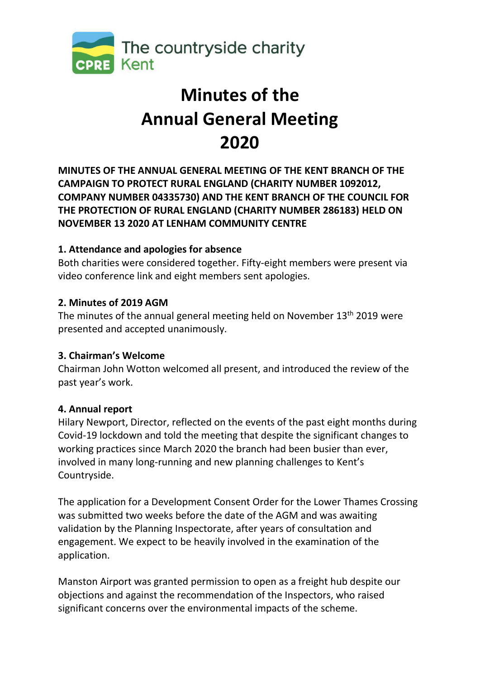

# **Minutes of the Annual General Meeting 2020**

**MINUTES OF THE ANNUAL GENERAL MEETING OF THE KENT BRANCH OF THE CAMPAIGN TO PROTECT RURAL ENGLAND (CHARITY NUMBER 1092012, COMPANY NUMBER 04335730) AND THE KENT BRANCH OF THE COUNCIL FOR THE PROTECTION OF RURAL ENGLAND (CHARITY NUMBER 286183) HELD ON NOVEMBER 13 2020 AT LENHAM COMMUNITY CENTRE** 

# **1. Attendance and apologies for absence**

Both charities were considered together. Fifty-eight members were present via video conference link and eight members sent apologies.

# **2. Minutes of 2019 AGM**

The minutes of the annual general meeting held on November  $13<sup>th</sup>$  2019 were presented and accepted unanimously.

### **3. Chairman's Welcome**

Chairman John Wotton welcomed all present, and introduced the review of the past year's work.

# **4. Annual report**

Hilary Newport, Director, reflected on the events of the past eight months during Covid-19 lockdown and told the meeting that despite the significant changes to working practices since March 2020 the branch had been busier than ever, involved in many long-running and new planning challenges to Kent's Countryside.

The application for a Development Consent Order for the Lower Thames Crossing was submitted two weeks before the date of the AGM and was awaiting validation by the Planning Inspectorate, after years of consultation and engagement. We expect to be heavily involved in the examination of the application.

Manston Airport was granted permission to open as a freight hub despite our objections and against the recommendation of the Inspectors, who raised significant concerns over the environmental impacts of the scheme.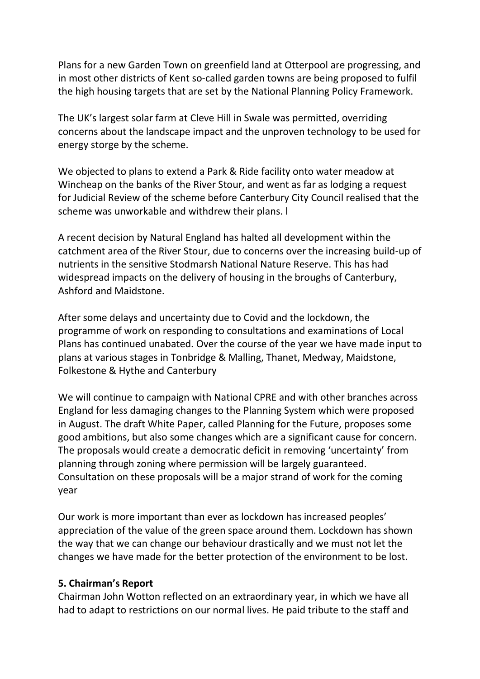Plans for a new Garden Town on greenfield land at Otterpool are progressing, and in most other districts of Kent so-called garden towns are being proposed to fulfil the high housing targets that are set by the National Planning Policy Framework.

The UK's largest solar farm at Cleve Hill in Swale was permitted, overriding concerns about the landscape impact and the unproven technology to be used for energy storge by the scheme.

We objected to plans to extend a Park & Ride facility onto water meadow at Wincheap on the banks of the River Stour, and went as far as lodging a request for Judicial Review of the scheme before Canterbury City Council realised that the scheme was unworkable and withdrew their plans. l

A recent decision by Natural England has halted all development within the catchment area of the River Stour, due to concerns over the increasing build-up of nutrients in the sensitive Stodmarsh National Nature Reserve. This has had widespread impacts on the delivery of housing in the broughs of Canterbury, Ashford and Maidstone.

After some delays and uncertainty due to Covid and the lockdown, the programme of work on responding to consultations and examinations of Local Plans has continued unabated. Over the course of the year we have made input to plans at various stages in Tonbridge & Malling, Thanet, Medway, Maidstone, Folkestone & Hythe and Canterbury

We will continue to campaign with National CPRE and with other branches across England for less damaging changes to the Planning System which were proposed in August. The draft White Paper, called Planning for the Future, proposes some good ambitions, but also some changes which are a significant cause for concern. The proposals would create a democratic deficit in removing 'uncertainty' from planning through zoning where permission will be largely guaranteed. Consultation on these proposals will be a major strand of work for the coming year

Our work is more important than ever as lockdown has increased peoples' appreciation of the value of the green space around them. Lockdown has shown the way that we can change our behaviour drastically and we must not let the changes we have made for the better protection of the environment to be lost.

### **5. Chairman's Report**

Chairman John Wotton reflected on an extraordinary year, in which we have all had to adapt to restrictions on our normal lives. He paid tribute to the staff and